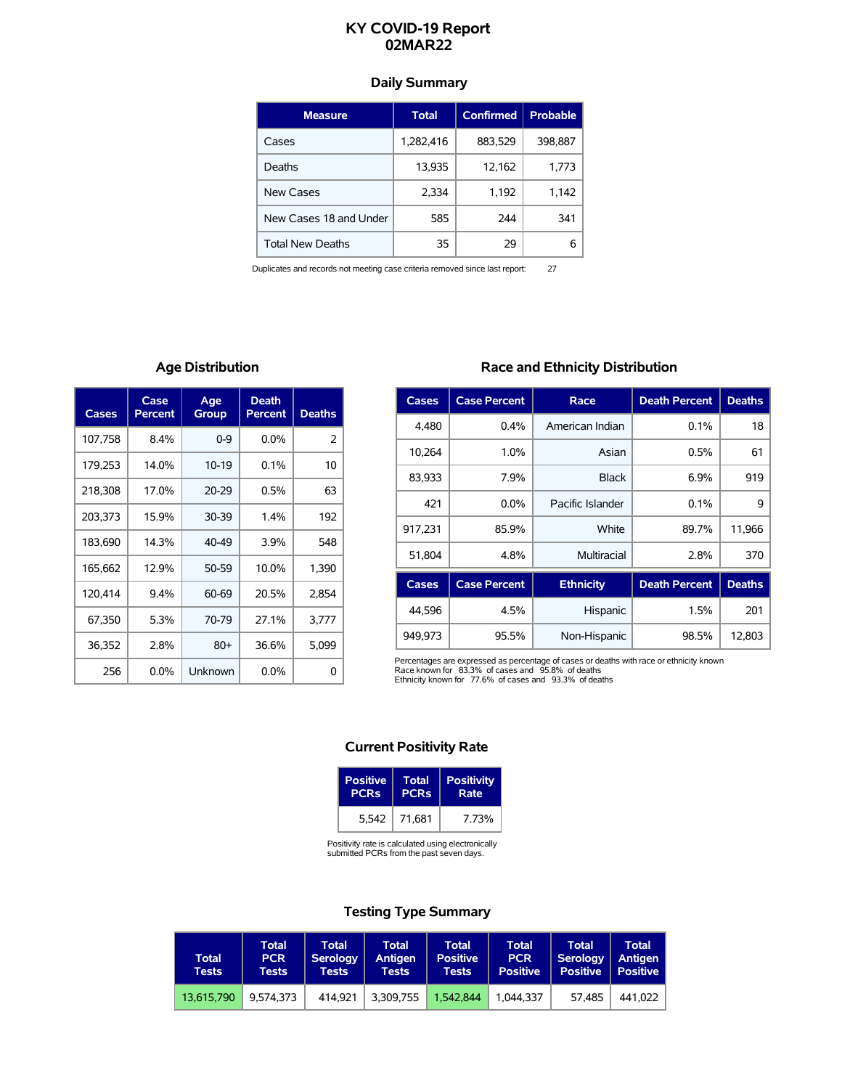# **KY COVID-19 Report 02MAR22**

## **Daily Summary**

| <b>Measure</b>          | Total     | <b>Confirmed</b> | <b>Probable</b> |
|-------------------------|-----------|------------------|-----------------|
| Cases                   | 1,282,416 | 883,529          | 398,887         |
| Deaths                  | 13,935    | 12,162           | 1,773           |
| New Cases               | 2,334     | 1,192            | 1,142           |
| New Cases 18 and Under  | 585       | 244              | 341             |
| <b>Total New Deaths</b> | 35        | 29               | 6               |

Duplicates and records not meeting case criteria removed since last report: 27

## **Age Distribution**

| Cases   | Case<br>Percent | Age<br>Group | <b>Death</b><br><b>Percent</b> | <b>Deaths</b> |
|---------|-----------------|--------------|--------------------------------|---------------|
| 107,758 | 8.4%            | $0 - 9$      | $0.0\%$                        | $\mathcal{P}$ |
| 179,253 | 14.0%           | $10-19$      | 0.1%                           | 10            |
| 218,308 | 17.0%           | $20 - 29$    | 0.5%                           | 63            |
| 203,373 | 15.9%           | 30-39        | 1.4%                           | 192           |
| 183,690 | 14.3%           | 40-49        | 3.9%                           | 548           |
| 165,662 | 12.9%           | 50-59        | 10.0%                          | 1,390         |
| 120,414 | 9.4%            | 60-69        | 20.5%                          | 2.854         |
| 67,350  | 5.3%            | 70-79        | 27.1%                          | 3,777         |
| 36,352  | 2.8%            | $80+$        | 36.6%                          | 5,099         |
| 256     | $0.0\%$         | Unknown      | $0.0\%$                        | 0             |

## **Race and Ethnicity Distribution**

| Cases   | <b>Case Percent</b> | Race             | <b>Death Percent</b> | <b>Deaths</b> |
|---------|---------------------|------------------|----------------------|---------------|
| 4,480   | 0.4%                | American Indian  | 0.1%                 | 18            |
| 10.264  | 1.0%                | Asian            | 0.5%                 | 61            |
| 83,933  | 7.9%                | <b>Black</b>     | 6.9%                 | 919           |
| 421     | $0.0\%$             | Pacific Islander | 0.1%                 | 9             |
| 917.231 | 85.9%               | White            | 89.7%                | 11.966        |
| 51.804  | 4.8%                | Multiracial      | 2.8%                 | 370           |
| Cases   | <b>Case Percent</b> | <b>Ethnicity</b> | <b>Death Percent</b> | <b>Deaths</b> |

|         | Cases   Case Percent | <b>Ethnicity</b> | Death Percent   Deaths |        |
|---------|----------------------|------------------|------------------------|--------|
| 44.596  | 4.5%                 | Hispanic         | 1.5%                   | 201    |
| 949.973 | 95.5%                | Non-Hispanic     | 98.5%                  | 12.803 |

Percentages are expressed as percentage of cases or deaths with race or ethnicity known<br>Race known for 83.3% of cases and 95.8% of deaths<br>Ethnicity known for 77.6% of cases and 93.3% of deaths

### **Current Positivity Rate**

| <b>Positive</b>        | Total       | <b>Positivity</b> |
|------------------------|-------------|-------------------|
| <b>PCR<sub>s</sub></b> | <b>PCRs</b> | Rate              |
| 5.542                  | 71.681      | 7.73%             |

Positivity rate is calculated using electronically submitted PCRs from the past seven days.

## **Testing Type Summary**

| <b>Total</b><br>Tests | <b>Total</b><br><b>PCR</b><br>Tests | <b>Total</b><br><b>Serology</b><br>Tests | Total<br>Antigen<br><b>Tests</b> | Total<br><b>Positive</b><br><b>Tests</b> | <b>Total</b><br><b>PCR</b><br><b>Positive</b> | <b>Total</b><br>Serology<br><b>Positive</b> | Total<br>Antigen<br><b>Positive</b> |
|-----------------------|-------------------------------------|------------------------------------------|----------------------------------|------------------------------------------|-----------------------------------------------|---------------------------------------------|-------------------------------------|
| 13.615.790            | 9.574.373                           | 414.921                                  | 3.309.755                        | 1.542.844                                | 1.044.337                                     | 57.485                                      | 441.022                             |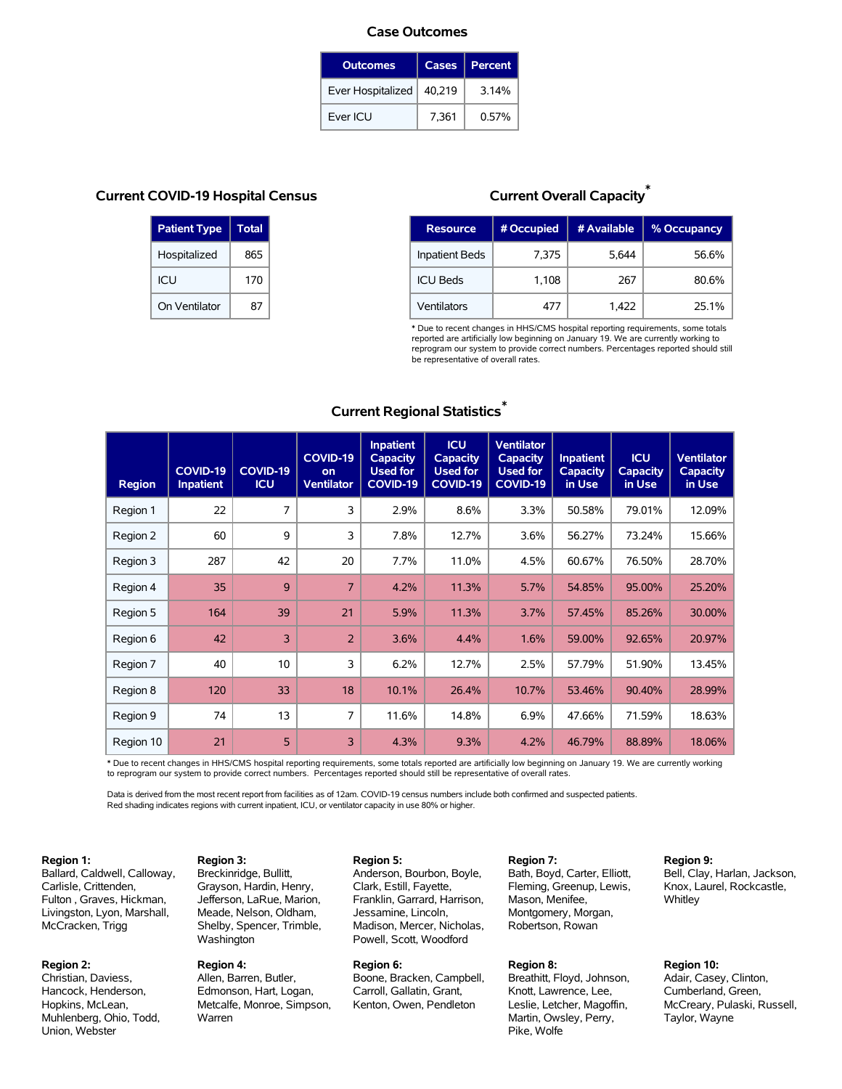#### **Case Outcomes**

| <b>Outcomes</b>   | <b>Cases</b> | Percent |
|-------------------|--------------|---------|
| Ever Hospitalized | 40,219       | 3.14%   |
| Ever ICU          | 7.361        | 0.57%   |

## **Current COVID-19 Hospital Census**

| <b>Patient Type</b> | <b>Total</b> |
|---------------------|--------------|
| Hospitalized        | 865          |
| ICU                 | 170          |
| On Ventilator       | 87           |

# **Current Overall Capacity** \*

| <b>Resource</b>       | # Occupied | # Available | % Occupancy |
|-----------------------|------------|-------------|-------------|
| <b>Inpatient Beds</b> | 7,375      | 5,644       | 56.6%       |
| <b>ICU Beds</b>       | 1,108      | 267         | 80.6%       |
| Ventilators           | 477        | 1,422       | 25.1%       |

\* Due to recent changes in HHS/CMS hospital reporting requirements, some totals reported are artificially low beginning on January 19. We are currently working to reprogram our system to provide correct numbers. Percentages reported should still be representative of overall rates.

# **Current Regional Statistics** \*

| <b>Region</b> | COVID-19<br><b>Inpatient</b> | COVID-19<br><b>ICU</b> | COVID-19<br>on<br><b>Ventilator</b> | <b>Inpatient</b><br><b>Capacity</b><br><b>Used for</b><br>COVID-19 | <b>ICU</b><br>Capacity<br><b>Used for</b><br><b>COVID-19</b> | <b>Ventilator</b><br><b>Capacity</b><br><b>Used for</b><br><b>COVID-19</b> | <b>Inpatient</b><br><b>Capacity</b><br>in Use | <b>ICU</b><br><b>Capacity</b><br>in Use | <b>Ventilator</b><br><b>Capacity</b><br>in Use |
|---------------|------------------------------|------------------------|-------------------------------------|--------------------------------------------------------------------|--------------------------------------------------------------|----------------------------------------------------------------------------|-----------------------------------------------|-----------------------------------------|------------------------------------------------|
| Region 1      | 22                           | 7                      | 3                                   | 2.9%                                                               | 8.6%                                                         | 3.3%                                                                       | 50.58%                                        | 79.01%                                  | 12.09%                                         |
| Region 2      | 60                           | 9                      | 3                                   | 7.8%                                                               | 12.7%                                                        | 3.6%                                                                       | 56.27%                                        | 73.24%                                  | 15.66%                                         |
| Region 3      | 287                          | 42                     | 20                                  | 7.7%                                                               | 11.0%                                                        | 4.5%                                                                       | 60.67%                                        | 76.50%                                  | 28.70%                                         |
| Region 4      | 35                           | 9                      | $\overline{7}$                      | 4.2%                                                               | 11.3%                                                        | 5.7%                                                                       | 54.85%                                        | 95.00%                                  | 25.20%                                         |
| Region 5      | 164                          | 39                     | 21                                  | 5.9%                                                               | 11.3%                                                        | 3.7%                                                                       | 57.45%                                        | 85.26%                                  | 30.00%                                         |
| Region 6      | 42                           | 3                      | $\overline{2}$                      | 3.6%                                                               | 4.4%                                                         | 1.6%                                                                       | 59.00%                                        | 92.65%                                  | 20.97%                                         |
| Region 7      | 40                           | 10                     | 3                                   | 6.2%                                                               | 12.7%                                                        | 2.5%                                                                       | 57.79%                                        | 51.90%                                  | 13.45%                                         |
| Region 8      | 120                          | 33                     | 18                                  | 10.1%                                                              | 26.4%                                                        | 10.7%                                                                      | 53.46%                                        | 90.40%                                  | 28.99%                                         |
| Region 9      | 74                           | 13                     | 7                                   | 11.6%                                                              | 14.8%                                                        | 6.9%                                                                       | 47.66%                                        | 71.59%                                  | 18.63%                                         |
| Region 10     | 21                           | 5                      | 3                                   | 4.3%                                                               | 9.3%                                                         | 4.2%                                                                       | 46.79%                                        | 88.89%                                  | 18.06%                                         |

\* Due to recent changes in HHS/CMS hospital reporting requirements, some totals reported are artificially low beginning on January 19. We are currently working to reprogram our system to provide correct numbers. Percentages reported should still be representative of overall rates.

Data is derived from the most recent report from facilities as of 12am. COVID-19 census numbers include both confirmed and suspected patients. Red shading indicates regions with current inpatient, ICU, or ventilator capacity in use 80% or higher.

#### **Region 1:**

Ballard, Caldwell, Calloway, Carlisle, Crittenden, Fulton , Graves, Hickman, Livingston, Lyon, Marshall, McCracken, Trigg

**Region 3:**

Washington **Region 4:**

Warren

Breckinridge, Bullitt, Grayson, Hardin, Henry, Jefferson, LaRue, Marion, Meade, Nelson, Oldham, Shelby, Spencer, Trimble,

Allen, Barren, Butler, Edmonson, Hart, Logan, Metcalfe, Monroe, Simpson,

#### **Region 2:**

Christian, Daviess, Hancock, Henderson, Hopkins, McLean, Muhlenberg, Ohio, Todd, Union, Webster

## **Region 5:**

Anderson, Bourbon, Boyle, Clark, Estill, Fayette, Franklin, Garrard, Harrison, Jessamine, Lincoln, Madison, Mercer, Nicholas, Powell, Scott, Woodford

#### **Region 6:**

Boone, Bracken, Campbell, Carroll, Gallatin, Grant, Kenton, Owen, Pendleton

**Region 7:** Bath, Boyd, Carter, Elliott, Fleming, Greenup, Lewis, Mason, Menifee, Montgomery, Morgan, Robertson, Rowan

#### **Region 8:**

Breathitt, Floyd, Johnson, Knott, Lawrence, Lee, Leslie, Letcher, Magoffin, Martin, Owsley, Perry, Pike, Wolfe

#### **Region 9:**

Bell, Clay, Harlan, Jackson, Knox, Laurel, Rockcastle, **Whitley** 

### **Region 10:**

Adair, Casey, Clinton, Cumberland, Green, McCreary, Pulaski, Russell, Taylor, Wayne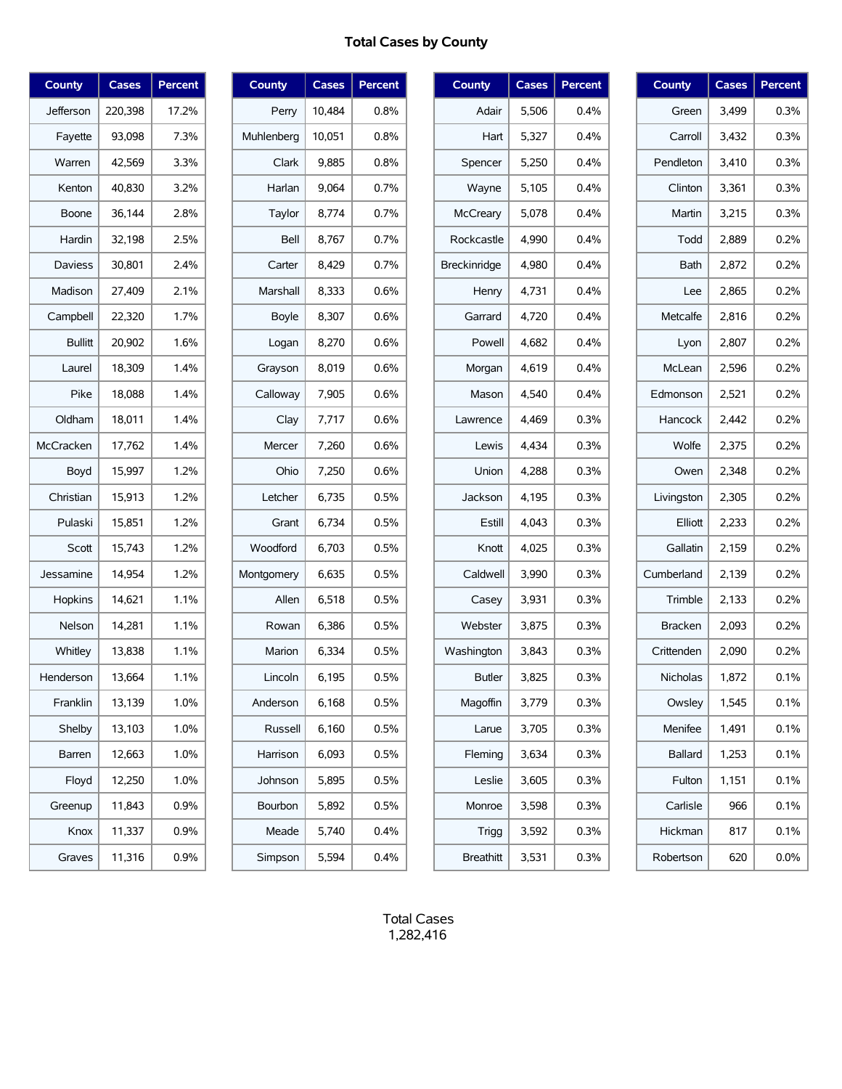# **Total Cases by County**

| <b>County</b>  | Cases   | Percent |
|----------------|---------|---------|
| Jefferson      | 220,398 | 17.2%   |
| Fayette        | 93,098  | 7.3%    |
| Warren         | 42,569  | 3.3%    |
| Kenton         | 40,830  | 3.2%    |
| Boone          | 36,144  | 2.8%    |
| Hardin         | 32,198  | 2.5%    |
| <b>Daviess</b> | 30,801  | 2.4%    |
| Madison        | 27,409  | 2.1%    |
| Campbell       | 22,320  | 1.7%    |
| <b>Bullitt</b> | 20,902  | 1.6%    |
| Laurel         | 18,309  | 1.4%    |
| Pike           | 18,088  | 1.4%    |
| Oldham         | 18,011  | 1.4%    |
| McCracken      | 17,762  | 1.4%    |
| Boyd           | 15,997  | 1.2%    |
| Christian      | 15,913  | 1.2%    |
| Pulaski        | 15,851  | 1.2%    |
| Scott          | 15,743  | 1.2%    |
| Jessamine      | 14,954  | 1.2%    |
| Hopkins        | 14,621  | 1.1%    |
| Nelson         | 14,281  | 1.1%    |
| Whitley        | 13,838  | 1.1%    |
| Henderson      | 13,664  | 1.1%    |
| Franklin       | 13,139  | 1.0%    |
| Shelby         | 13,103  | 1.0%    |
| Barren         | 12,663  | 1.0%    |
| Floyd          | 12,250  | 1.0%    |
| Greenup        | 11,843  | 0.9%    |
| Knox           | 11,337  | 0.9%    |
| Graves         | 11,316  | 0.9%    |

| <b>County</b> | <b>Cases</b> | Percent |
|---------------|--------------|---------|
| Perry         | 10,484       | $0.8\%$ |
| Muhlenberg    | 10,051       | $0.8\%$ |
| Clark         | 9,885        | 0.8%    |
| Harlan        | 9,064        | 0.7%    |
| Taylor        | 8,774        | 0.7%    |
| Bell          | 8,767        | 0.7%    |
| Carter        | 8,429        | $0.7\%$ |
| Marshall      | 8,333        | 0.6%    |
| <b>Boyle</b>  | 8,307        | 0.6%    |
| Logan         | 8,270        | 0.6%    |
| Grayson       | 8,019        | 0.6%    |
| Calloway      | 7,905        | 0.6%    |
| Clay          | 7,717        | 0.6%    |
| Mercer        | 7,260        | 0.6%    |
| Ohio          | 7,250        | 0.6%    |
| Letcher       | 6,735        | 0.5%    |
| Grant         | 6,734        | 0.5%    |
| Woodford      | 6,703        | 0.5%    |
| Montgomery    | 6,635        | 0.5%    |
| Allen         | 6,518        | 0.5%    |
| Rowan         | 6,386        | 0.5%    |
| Marion        | 6,334        | 0.5%    |
| Lincoln       | 6,195        | 0.5%    |
| Anderson      | 6,168        | 0.5%    |
| Russell       | 6,160        | 0.5%    |
| Harrison      | 6,093        | 0.5%    |
| Johnson       | 5,895        | 0.5%    |
| Bourbon       | 5,892        | 0.5%    |
| Meade         | 5,740        | 0.4%    |
| Simpson       | 5,594        | 0.4%    |

| <b>County</b>    | Cases | <b>Percent</b> |
|------------------|-------|----------------|
| Adair            | 5.506 | 0.4%           |
| Hart             | 5,327 | 0.4%           |
| Spencer          | 5,250 | $0.4\%$        |
| Wayne            | 5,105 | 0.4%           |
| McCreary         | 5.078 | $0.4\%$        |
| Rockcastle       | 4,990 | 0.4%           |
| Breckinridge     | 4.980 | 0.4%           |
| Henry            | 4,731 | 0.4%           |
| Garrard          | 4,720 | 0.4%           |
| Powell           | 4,682 | 0.4%           |
| Morgan           | 4.619 | 0.4%           |
| Mason            | 4,540 | $0.4\%$        |
| Lawrence         | 4.469 | 0.3%           |
| Lewis            | 4.434 | 0.3%           |
| Union            | 4,288 | 0.3%           |
| Jackson          | 4,195 | 0.3%           |
| Estill           | 4,043 | 0.3%           |
| Knott            | 4,025 | 0.3%           |
| Caldwell         | 3,990 | 0.3%           |
| Casey            | 3,931 | 0.3%           |
| Webster          | 3.875 | 0.3%           |
| Washington       | 3,843 | 0.3%           |
| <b>Butler</b>    | 3,825 | 0.3%           |
| Magoffin         | 3,779 | 0.3%           |
| Larue            | 3,705 | 0.3%           |
| Fleming          | 3,634 | 0.3%           |
| Leslie           | 3,605 | 0.3%           |
| Monroe           | 3,598 | 0.3%           |
| <b>Trigg</b>     | 3,592 | 0.3%           |
| <b>Breathitt</b> | 3,531 | 0.3%           |

| <b>County</b>  | <b>Cases</b> | Percent |
|----------------|--------------|---------|
| Green          | 3,499        | 0.3%    |
| Carroll        | 3,432        | 0.3%    |
| Pendleton      | 3,410        | 0.3%    |
| Clinton        | 3,361        | 0.3%    |
| Martin         | 3,215        | 0.3%    |
| Todd           | 2,889        | 0.2%    |
| <b>Bath</b>    | 2,872        | 0.2%    |
| Lee            | 2,865        | 0.2%    |
| Metcalfe       | 2,816        | 0.2%    |
| Lyon           | 2,807        | 0.2%    |
| McLean         | 2,596        | 0.2%    |
| Edmonson       | 2,521        | 0.2%    |
| Hancock        | 2.442        | 0.2%    |
| Wolfe          | 2,375        | 0.2%    |
| Owen           | 2,348        | 0.2%    |
| Livingston     | 2,305        | 0.2%    |
| Elliott        | 2,233        | 0.2%    |
| Gallatin       | 2,159        | 0.2%    |
| Cumberland     | 2,139        | 0.2%    |
| Trimble        | 2,133        | 0.2%    |
| <b>Bracken</b> | 2,093        | 0.2%    |
| Crittenden     | 2,090        | 0.2%    |
| Nicholas       | 1,872        | 0.1%    |
| Owsley         | 1,545        | 0.1%    |
| Menifee        | 1,491        | 0.1%    |
| <b>Ballard</b> | 1,253        | 0.1%    |
| Fulton         | 1,151        | 0.1%    |
| Carlisle       | 966          | 0.1%    |
| Hickman        | 817          | 0.1%    |
| Robertson      | 620          | 0.0%    |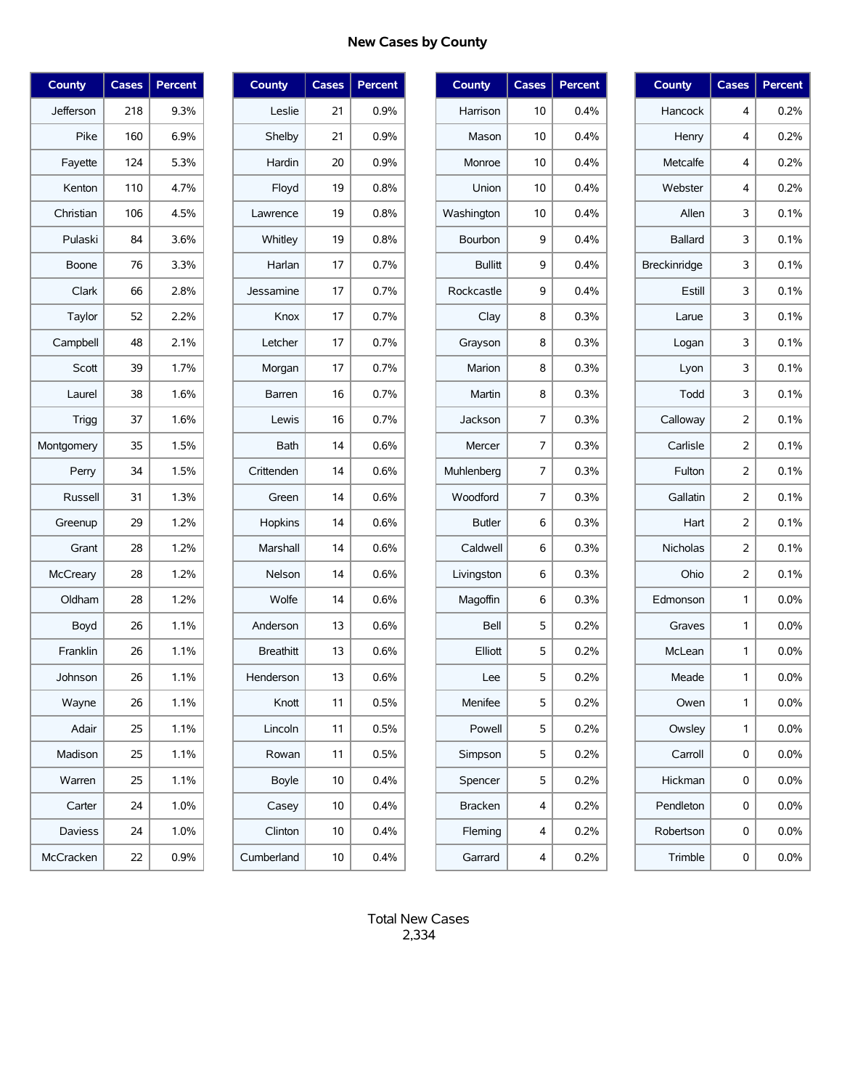# **New Cases by County**

| County          | Cases | Percent |
|-----------------|-------|---------|
| Jefferson       | 218   | 9.3%    |
| Pike            | 160   | 6.9%    |
| Fayette         | 124   | 5.3%    |
| Kenton          | 110   | 4.7%    |
| Christian       | 106   | 4.5%    |
| Pulaski         | 84    | 3.6%    |
| Boone           | 76    | 3.3%    |
| Clark           | 66    | 2.8%    |
| Taylor          | 52    | 2.2%    |
| Campbell        | 48    | 2.1%    |
| Scott           | 39    | 1.7%    |
| Laurel          | 38    | 1.6%    |
| Trigg           | 37    | 1.6%    |
| Montgomery      | 35    | 1.5%    |
| Perry           | 34    | 1.5%    |
| Russell         | 31    | 1.3%    |
| Greenup         | 29    | 1.2%    |
| Grant           | 28    | 1.2%    |
| <b>McCreary</b> | 28    | 1.2%    |
| Oldham          | 28    | 1.2%    |
| Boyd            | 26    | 1.1%    |
| Franklin        | 26    | 1.1%    |
| Johnson         | 26    | 1.1%    |
| Wayne           | 26    | 1.1%    |
| Adair           | 25    | 1.1%    |
| Madison         | 25    | 1.1%    |
| Warren          | 25    | 1.1%    |
| Carter          | 24    | 1.0%    |
| Daviess         | 24    | 1.0%    |
| McCracken       | 22    | 0.9%    |

| <b>County</b>    | <b>Cases</b> | Percent |
|------------------|--------------|---------|
| Leslie           | 21           | $0.9\%$ |
| Shelby           | 21           | 0.9%    |
| Hardin           | 20           | $0.9\%$ |
| Floyd            | 19           | 0.8%    |
| Lawrence         | 19           | 0.8%    |
| Whitley          | 19           | 0.8%    |
| Harlan           | 17           | 0.7%    |
| Jessamine        | 17           | 0.7%    |
| Knox             | 17           | 0.7%    |
| Letcher          | 17           | 0.7%    |
| Morgan           | 17           | 0.7%    |
| Barren           | 16           | 0.7%    |
| Lewis            | 16           | 0.7%    |
| <b>Bath</b>      | 14           | 0.6%    |
| Crittenden       | 14           | 0.6%    |
| Green            | 14           | 0.6%    |
| Hopkins          | 14           | 0.6%    |
| <b>Marshall</b>  | 14           | 0.6%    |
| Nelson           | 14           | 0.6%    |
| Wolfe            | 14           | 0.6%    |
| Anderson         | 13           | 0.6%    |
| <b>Breathitt</b> | 13           | 0.6%    |
| Henderson        | 13           | 0.6%    |
| Knott            | 11           | 0.5%    |
| Lincoln          | 11           | 0.5%    |
| Rowan            | 11           | 0.5%    |
| Boyle            | 10           | 0.4%    |
| Casey            | 10           | 0.4%    |
| Clinton          | 10           | 0.4%    |
| Cumberland       | 10           | 0.4%    |

| <b>County</b>  | <b>Cases</b> | Percent |
|----------------|--------------|---------|
| Harrison       | 10           | 0.4%    |
| Mason          | 10           | 0.4%    |
| Monroe         | 10           | 0.4%    |
| Union          | 10           | 0.4%    |
| Washington     | 10           | 0.4%    |
| Bourbon        | 9            | 0.4%    |
| <b>Bullitt</b> | 9            | 0.4%    |
| Rockcastle     | 9            | 0.4%    |
| Clay           | 8            | 0.3%    |
| Grayson        | 8            | 0.3%    |
| Marion         | 8            | 0.3%    |
| Martin         | 8            | 0.3%    |
| Jackson        | 7            | 0.3%    |
| Mercer         | 7            | 0.3%    |
| Muhlenberg     | 7            | 0.3%    |
| Woodford       | 7            | 0.3%    |
| <b>Butler</b>  | 6            | 0.3%    |
| Caldwell       | 6            | 0.3%    |
| Livingston     | 6            | 0.3%    |
| Magoffin       | 6            | 0.3%    |
| Bell           | 5            | 0.2%    |
| Elliott        | 5            | 0.2%    |
| Lee            | 5            | 0.2%    |
| Menifee        | 5            | 0.2%    |
| Powell         | 5            | 0.2%    |
| Simpson        | 5            | $0.2\%$ |
| Spencer        | 5            | $0.2\%$ |
| Bracken        | 4            | 0.2%    |
| Fleming        | 4            | 0.2%    |
| Garrard        | 4            | 0.2%    |

| County         | <b>Cases</b>   | <b>Percent</b> |
|----------------|----------------|----------------|
| Hancock        | 4              | 0.2%           |
| Henry          | 4              | 0.2%           |
| Metcalfe       | 4              | 0.2%           |
| Webster        | 4              | 0.2%           |
| Allen          | 3              | 0.1%           |
| <b>Ballard</b> | 3              | 0.1%           |
| Breckinridge   | 3              | 0.1%           |
| Estill         | 3              | 0.1%           |
| Larue          | 3              | 0.1%           |
| Logan          | 3              | 0.1%           |
| Lyon           | 3              | 0.1%           |
| Todd           | 3              | 0.1%           |
| Calloway       | 2              | 0.1%           |
| Carlisle       | 2              | 0.1%           |
| Fulton         | $\overline{2}$ | 0.1%           |
| Gallatin       | 2              | 0.1%           |
| Hart           | 2              | 0.1%           |
| Nicholas       | $\overline{2}$ | 0.1%           |
| Ohio           | 2              | 0.1%           |
| Edmonson       | 1              | 0.0%           |
| Graves         | 1              | 0.0%           |
| McLean         | 1              | $0.0\%$        |
| Meade          | 1              | 0.0%           |
| Owen           | 1              | 0.0%           |
| Owsley         | 1              | 0.0%           |
| Carroll        | 0              | 0.0%           |
| Hickman        | 0              | $0.0\%$        |
| Pendleton      | 0              | 0.0%           |
| Robertson      | 0              | 0.0%           |
| Trimble        | 0              | 0.0%           |
|                |                |                |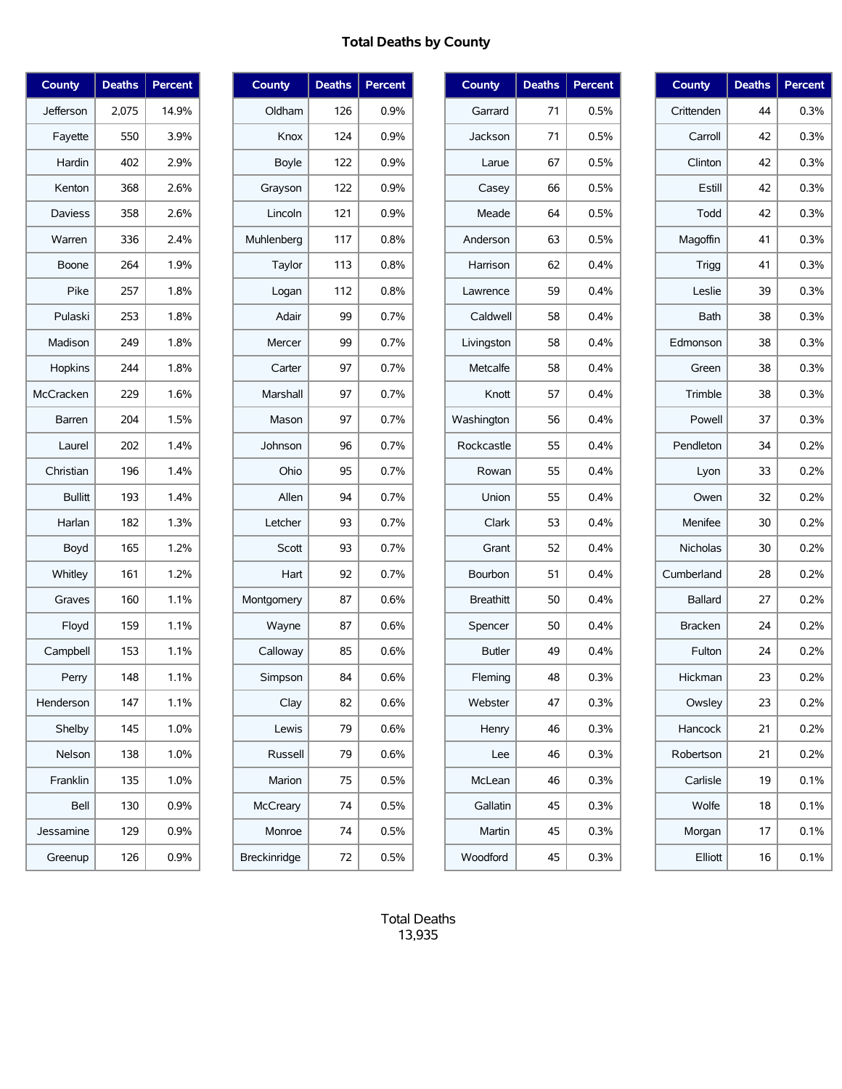# **Total Deaths by County**

| <b>County</b>  | <b>Deaths</b> | <b>Percent</b> |
|----------------|---------------|----------------|
| Jefferson      | 2,075         | 14.9%          |
| Fayette        | 550           | 3.9%           |
| Hardin         | 402           | 2.9%           |
| Kenton         | 368           | 2.6%           |
| <b>Daviess</b> | 358           | 2.6%           |
| Warren         | 336           | 2.4%           |
| Boone          | 264           | 1.9%           |
| Pike           | 257           | 1.8%           |
| Pulaski        | 253           | 1.8%           |
| Madison        | 249           | 1.8%           |
| Hopkins        | 244           | 1.8%           |
| McCracken      | 229           | 1.6%           |
| Barren         | 204           | 1.5%           |
| Laurel         | 202           | 1.4%           |
| Christian      | 196           | 1.4%           |
| <b>Bullitt</b> | 193           | 1.4%           |
| Harlan         | 182           | 1.3%           |
| Boyd           | 165           | 1.2%           |
| Whitley        | 161           | 1.2%           |
| Graves         | 160           | 1.1%           |
| Floyd          | 159           | 1.1%           |
| Campbell       | 153           | 1.1%           |
| Perry          | 148           | 1.1%           |
| Henderson      | 147           | 1.1%           |
| Shelby         | 145           | 1.0%           |
| Nelson         | 138           | 1.0%           |
| Franklin       | 135           | 1.0%           |
| Bell           | 130           | 0.9%           |
| Jessamine      | 129           | $0.9\%$        |
| Greenup        | 126           | 0.9%           |

| <b>County</b>   | <b>Deaths</b> | Percent |
|-----------------|---------------|---------|
| Oldham          | 126           | 0.9%    |
| Knox            | 124           | 0.9%    |
| Boyle           | 122           | 0.9%    |
| Grayson         | 122           | 0.9%    |
| Lincoln         | 121           | 0.9%    |
| Muhlenberg      | 117           | 0.8%    |
| Taylor          | 113           | 0.8%    |
| Logan           | 112           | 0.8%    |
| Adair           | 99            | 0.7%    |
| Mercer          | 99            | 0.7%    |
| Carter          | 97            | 0.7%    |
| Marshall        | 97            | 0.7%    |
| Mason           | 97            | 0.7%    |
| Johnson         | 96            | 0.7%    |
| Ohio            | 95            | 0.7%    |
| Allen           | 94            | 0.7%    |
| Letcher         | 93            | 0.7%    |
| Scott           | 93            | 0.7%    |
| Hart            | 92            | 0.7%    |
| Montgomery      | 87            | 0.6%    |
| Wayne           | 87            | 0.6%    |
| Calloway        | 85            | 0.6%    |
| Simpson         | 84            | 0.6%    |
| Clay            | 82            | 0.6%    |
| Lewis           | 79            | 0.6%    |
| Russell         | 79            | 0.6%    |
| Marion          | 75            | 0.5%    |
| <b>McCreary</b> | 74            | 0.5%    |
| Monroe          | 74            | 0.5%    |
| Breckinridge    | 72            | 0.5%    |

| <b>County</b>    | <b>Deaths</b> | Percent |
|------------------|---------------|---------|
| Garrard          | 71            | 0.5%    |
| Jackson          | 71            | 0.5%    |
| Larue            | 67            | 0.5%    |
| Casey            | 66            | 0.5%    |
| Meade            | 64            | 0.5%    |
| Anderson         | 63            | 0.5%    |
| Harrison         | 62            | 0.4%    |
| Lawrence         | 59            | 0.4%    |
| Caldwell         | 58            | 0.4%    |
| Livingston       | 58            | 0.4%    |
| Metcalfe         | 58            | 0.4%    |
| Knott            | 57            | 0.4%    |
| Washington       | 56            | 0.4%    |
| Rockcastle       | 55            | 0.4%    |
| Rowan            | 55            | 0.4%    |
| Union            | 55            | 0.4%    |
| Clark            | 53            | 0.4%    |
| Grant            | 52            | 0.4%    |
| Bourbon          | 51            | 0.4%    |
| <b>Breathitt</b> | 50            | 0.4%    |
| Spencer          | 50            | 0.4%    |
| <b>Butler</b>    | 49            | 0.4%    |
| Fleming          | 48            | 0.3%    |
| Webster          | 47            | $0.3\%$ |
| Henry            | 46            | 0.3%    |
| Lee              | 46            | 0.3%    |
| McLean           | 46            | 0.3%    |
| Gallatin         | 45            | $0.3\%$ |
| Martin           | 45            | $0.3\%$ |
| Woodford         | 45            | $0.3\%$ |

| <b>County</b>  | <b>Deaths</b> | Percent |
|----------------|---------------|---------|
| Crittenden     | 44            | 0.3%    |
| Carroll        | 42            | 0.3%    |
| Clinton        | 42            | 0.3%    |
| Estill         | 42            | 0.3%    |
| Todd           | 42            | 0.3%    |
| Magoffin       | 41            | 0.3%    |
| Trigg          | 41            | 0.3%    |
| Leslie         | 39            | 0.3%    |
| Bath           | 38            | 0.3%    |
| Edmonson       | 38            | 0.3%    |
| Green          | 38            | 0.3%    |
| Trimble        | 38            | 0.3%    |
| Powell         | 37            | 0.3%    |
| Pendleton      | 34            | 0.2%    |
| Lyon           | 33            | 0.2%    |
| Owen           | 32            | 0.2%    |
| Menifee        | 30            | 0.2%    |
| Nicholas       | 30            | 0.2%    |
| Cumberland     | 28            | 0.2%    |
| <b>Ballard</b> | 27            | 0.2%    |
| <b>Bracken</b> | 24            | 0.2%    |
| Fulton         | 24            | 0.2%    |
| Hickman        | 23            | 0.2%    |
| Owsley         | 23            | 0.2%    |
| Hancock        | 21            | 0.2%    |
| Robertson      | 21            | 0.2%    |
| Carlisle       | 19            | $0.1\%$ |
| Wolfe          | 18            | 0.1%    |
| Morgan         | 17            | 0.1%    |
| Elliott        | 16            | 0.1%    |

Total Deaths 13,935